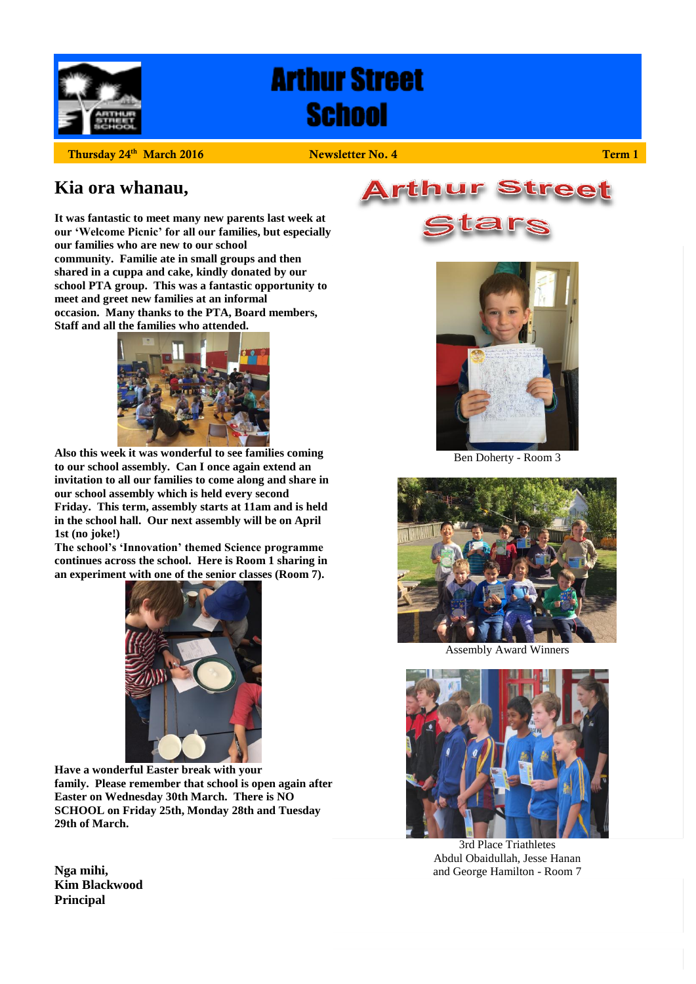

# **Arthur Street School**

**Thursday 24th**

 **2016 2016 2016 2016 2016 2016 2016 2016 2026 2026 2026 2026 2026 2026 2026 2026 2026 2026 2026 2026 2026 2026 2026 2026 2026 2026 2026 2026 2026 2026 2026 202** 

# **Kia ora whanau,**

**It was fantastic to meet many new parents last week at our 'Welcome Picnic' for all our families, but especially our families who are new to our school community. Familie ate in small groups and then shared in a cuppa and cake, kindly donated by our school PTA group. This was a fantastic opportunity to meet and greet new families at an informal occasion. Many thanks to the PTA, Board members, Staff and all the families who attended.**



**Also this week it was wonderful to see families coming to our school assembly. Can I once again extend an invitation to all our families to come along and share in our school assembly which is held every second Friday. This term, assembly starts at 11am and is held in the school hall. Our next assembly will be on April 1st (no joke!)** 

**The school's 'Innovation' themed Science programme continues across the school. Here is Room 1 sharing in an experiment with one of the senior classes (Room 7).** 



**Have a wonderful Easter break with your family. Please remember that school is open again after Easter on Wednesday 30th March. There is NO SCHOOL on Friday 25th, Monday 28th and Tuesday 29th of March.**







Ben Doherty - Room 3



Assembly Award Winners



3rd Place Triathletes Abdul Obaidullah, Jesse Hanan and George Hamilton - Room 7

**Nga mihi, Kim Blackwood Principal**